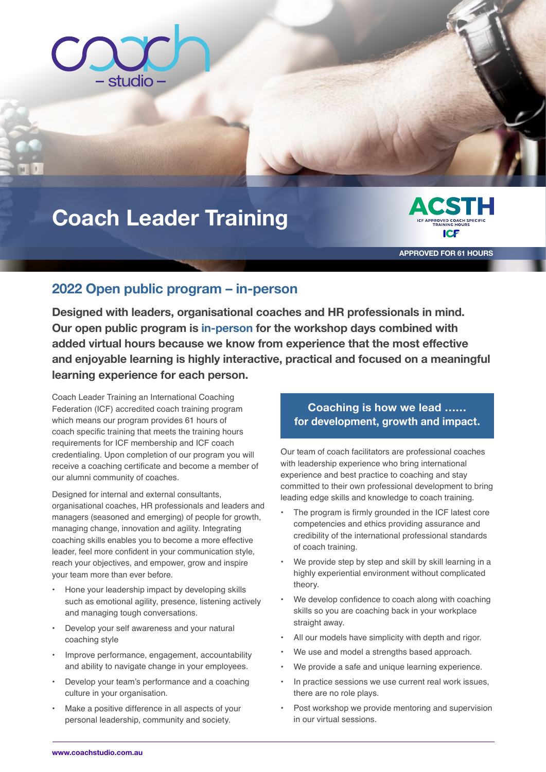

### **Coach Leader Training ICF ACSTH**  aining **Care and Mark**



**APPROVED FOR 61 HOURS**

# 2022 Open public program – in-person

Designed with leaders, organisational coaches and HR professionals in mind. The minimum height is 1" for added virtual hours because we know from experience that the most effective **Our open public program is in-person for the workshop days combined with and enjoyable learning is highly interactive, practical and focused on a meaningful learning experience for each person.** 

Coach Leader Training an International Coaching Federation (ICF) accredited coach training program which means our program provides 61 hours of coach specific training that meets the training hours requirements for ICF membership and ICF coach credentialing. Upon completion of our program you will receive a coaching certificate and become a member of our alumni community of coaches.

Designed for internal and external consultants, organisational coaches, HR professionals and leaders and managers (seasoned and emerging) of people for growth, managing change, innovation and agility. Integrating coaching skills enables you to become a more effective leader, feel more confident in your communication style, reach your objectives, and empower, grow and inspire your team more than ever before.

- Hone your leadership impact by developing skills such as emotional agility, presence, listening actively and managing tough conversations.
- Develop your self awareness and your natural coaching style
- Improve performance, engagement, accountability and ability to navigate change in your employees.
- Develop your team's performance and a coaching culture in your organisation.
- Make a positive difference in all aspects of your personal leadership, community and society.

# **Coaching is how we lead …… for development, growth and impact.**

ACST MARKS ICE ACTIVITY ICE ACTIVITY ICE ACTIVITY ICE ACTIVITY ICE ACTIVITY ICE ACTIVITY ICE ACTIVITY ICE ACTIVITY

Our team of coach facilitators are professional coaches with leadership experience who bring international experience and best practice to coaching and stay committed to their own professional development to bring leading edge skills and knowledge to coach training.

- The program is firmly grounded in the ICF latest core competencies and ethics providing assurance and credibility of the international professional standards of coach training.
- We provide step by step and skill by skill learning in a highly experiential environment without complicated theory.
- We develop confidence to coach along with coaching skills so you are coaching back in your workplace straight away.
- All our models have simplicity with depth and rigor.
- We use and model a strengths based approach.
- We provide a safe and unique learning experience.
- In practice sessions we use current real work issues, there are no role plays.
- Post workshop we provide mentoring and supervision in our virtual sessions.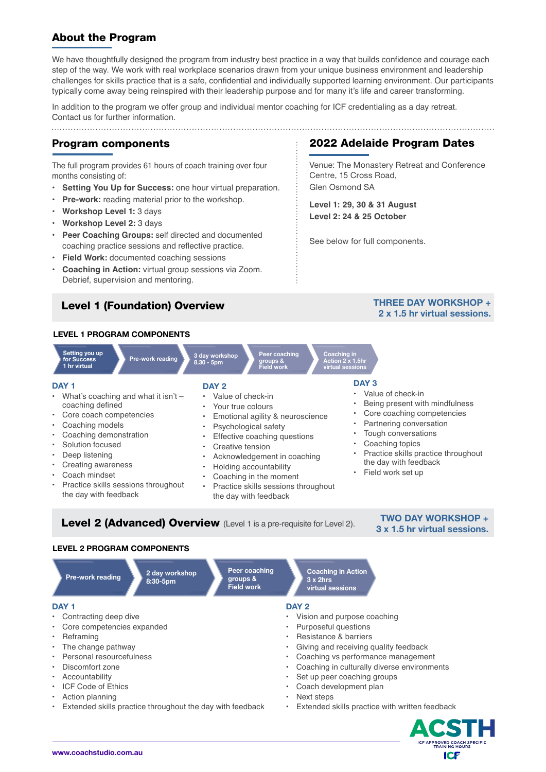## About the Program

We have thoughtfully designed the program from industry best practice in a way that builds confidence and courage each step of the way. We work with real workplace scenarios drawn from your unique business environment and leadership challenges for skills practice that is a safe, confidential and individually supported learning environment. Our participants typically come away being reinspired with their leadership purpose and for many it's life and career transforming.

In addition to the program we offer group and individual mentor coaching for ICF credentialing as a day retreat. Contact us for further information.

#### **P**rogram components

The full program provides 61 hours of coach training over four months consisting of:

- **Setting You Up for Success:** one hour virtual preparation.
- **Pre-work:** reading material prior to the workshop.
- **Workshop Level 1:** 3 days
- **Workshop Level 2:** 3 days
- **• Peer Coaching Groups:** self directed and documented coaching practice sessions and reflective practice.
- **Field Work:** documented coaching sessions
- **Coaching in Action:** virtual group sessions via Zoom. Debrief, supervision and mentoring.

## Level 1 (Foundation) Overview

### 2022 Adelaide Program Dates

Venue: The Monastery Retreat and Conference Centre, 15 Cross Road, Glen Osmond SA

**Level 1: 29, 30 & 31 August Level 2: 24 & 25 October**

See below for full components.

### **THREE DAY WORKSHOP + 2 x 1.5 hr virtual sessions.**

# **LEVEL 1 PROGRAM COMPONENTS**







**Accreditation** 

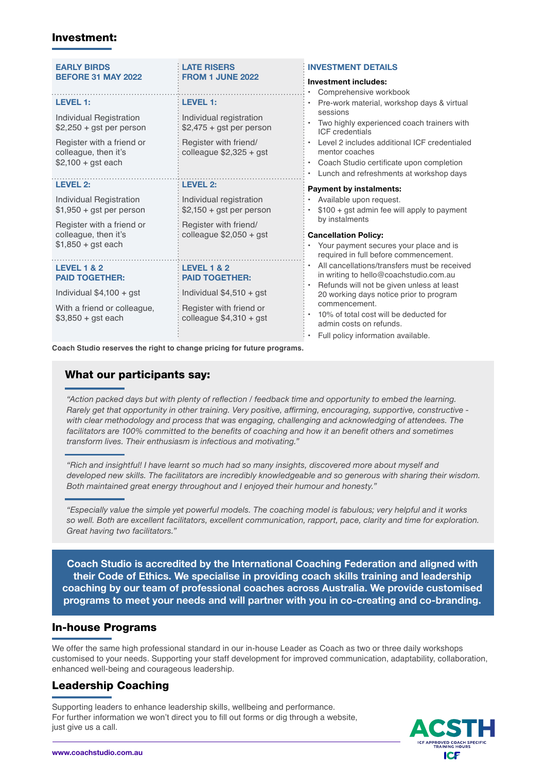#### Investment:

| <b>EARLY BIRDS</b><br><b>BEFORE 31 MAY 2022</b>                                                                                                     | <b>LATE RISERS</b><br><b>FROM 1 JUNE 2022</b>                                                                                       | <b>INVESTMENT DETAILS</b><br>Investment includes:<br>Comprehensive workbook<br>Pre-work material, workshop days & virtual<br>sessions<br>Two highly experienced coach trainers with<br><b>ICF</b> credentials<br>Level 2 includes additional ICF credentialed<br>mentor coaches<br>Coach Studio certificate upon completion<br>Lunch and refreshments at workshop days |
|-----------------------------------------------------------------------------------------------------------------------------------------------------|-------------------------------------------------------------------------------------------------------------------------------------|------------------------------------------------------------------------------------------------------------------------------------------------------------------------------------------------------------------------------------------------------------------------------------------------------------------------------------------------------------------------|
| <b>LEVEL 1:</b><br>Individual Registration<br>$$2,250 + gst$ per person<br>Register with a friend or<br>colleague, then it's<br>$$2,100 + gst each$ | <b>LEVEL 1:</b><br>Individual registration<br>$$2,475 + gst$ per person<br>Register with friend/<br>colleague $$2,325 + gst$        |                                                                                                                                                                                                                                                                                                                                                                        |
| <b>LEVEL 2:</b><br>Individual Registration<br>$$1,950 + gst$ per person<br>Register with a friend or<br>colleague, then it's<br>$$1,850 + gst$ each | <b>LEVEL 2:</b><br>Individual registration<br>$$2,150 + gst$ per person<br>Register with friend/<br>colleague $$2,050 + gst$        | <b>Payment by instalments:</b><br>Available upon request.<br>$$100 + gst$ admin fee will apply to payment<br>by instalments<br><b>Cancellation Policy:</b><br>Your payment secures your place and is<br>required in full before commencement.                                                                                                                          |
| <b>LEVEL 1 &amp; 2</b><br><b>PAID TOGETHER:</b><br>Individual $$4,100 + gst$<br>With a friend or colleague,<br>$$3,850 + gst each$                  | <b>LEVEL 1 &amp; 2</b><br><b>PAID TOGETHER:</b><br>Individual $$4,510 + gst$<br>Register with friend or<br>colleague $$4,310 + gst$ | All cancellations/transfers must be received<br>in writing to hello@coachstudio.com.au<br>Refunds will not be given unless at least<br>20 working days notice prior to program<br>commencement.<br>10% of total cost will be deducted for<br>admin costs on refunds.<br>Full policy information available.                                                             |
| Canah Ctudia reserves the right to shopes prising far future programs                                                                               |                                                                                                                                     |                                                                                                                                                                                                                                                                                                                                                                        |

erves the right to change pricing for future programs.

## What our participants say:

*"Action packed days but with plenty of reflection / feedback time and opportunity to embed the learning. Rarely get that opportunity in other training. Very positive, affirming, encouraging, supportive, constructive with clear methodology and process that was engaging, challenging and acknowledging of attendees. The facilitators are 100% committed to the benefits of coaching and how it an benefit others and sometimes transform lives. Their enthusiasm is infectious and motivating."*

*"Rich and insightful! I have learnt so much had so many insights, discovered more about myself and developed new skills. The facilitators are incredibly knowledgeable and so generous with sharing their wisdom. Both maintained great energy throughout and I enjoyed their humour and honesty."*

*"Especially value the simple yet powerful models. The coaching model is fabulous; very helpful and it works so well. Both are excellent facilitators, excellent communication, rapport, pace, clarity and time for exploration. Great having two facilitators."*

**Coach Studio is accredited by the International Coaching Federation and aligned with their Code of Ethics. We specialise in providing coach skills training and leadership coaching by our team of professional coaches across Australia. We provide customised programs to meet your needs and will partner with you in co-creating and co-branding.**

#### In-house Programs

We offer the same high professional standard in our in-house Leader as Coach as two or three daily workshops customised to your needs. Supporting your staff development for improved communication, adaptability, collaboration, enhanced well-being and courageous leadership.

**Accreditation** 

## Leadership Coaching

Supporting leaders to enhance leadership skills, wellbeing and performance. For further information we won't direct you to fill out forms or dig through a website,<br>just give us a call. just give us a call.